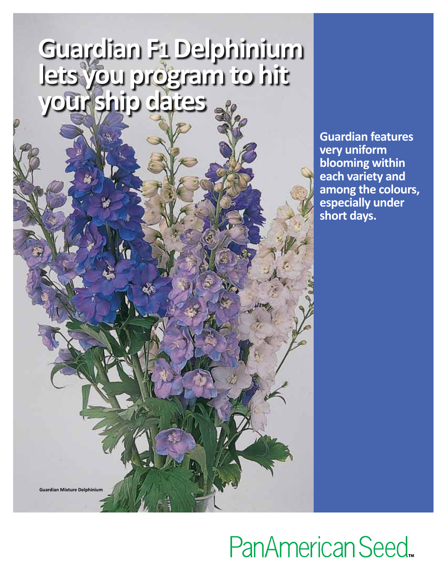### **Guardian F1 Delphinium lets you program to hit your ship dates**

**Guardian features very uniform blooming within each variety and among the colours, especially under short days.**

## PanAmerican Seed

**Guardian Mixture Delphinium**